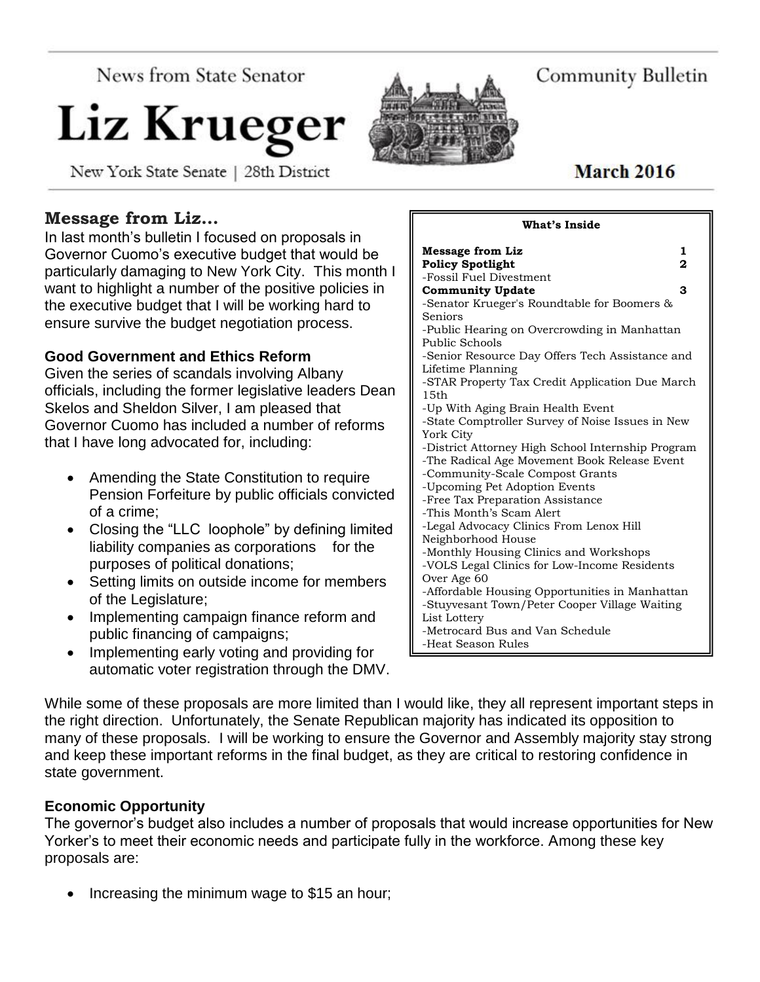**News from State Senator** 

# Liz Krueger

New York State Senate | 28th District

# **Message from Liz…**

In last month's bulletin I focused on proposals in Governor Cuomo's executive budget that would be particularly damaging to New York City. This month I want to highlight a number of the positive policies in the executive budget that I will be working hard to ensure survive the budget negotiation process.

#### **Good Government and Ethics Reform**

Given the series of scandals involving Albany officials, including the former legislative leaders Dean Skelos and Sheldon Silver, I am pleased that Governor Cuomo has included a number of reforms that I have long advocated for, including:

- Amending the State Constitution to require Pension Forfeiture by public officials convicted of a crime;
- Closing the "LLC loophole" by defining limited liability companies as corporations for the purposes of political donations;
- Setting limits on outside income for members of the Legislature;
- Implementing campaign finance reform and public financing of campaigns;
- Implementing early voting and providing for automatic voter registration through the DMV.

While some of these proposals are more limited than I would like, they all represent important steps in the right direction. Unfortunately, the Senate Republican majority has indicated its opposition to many of these proposals. I will be working to ensure the Governor and Assembly majority stay strong and keep these important reforms in the final budget, as they are critical to restoring confidence in state government.

-Heat Season Rules

#### **Economic Opportunity**

The governor's budget also includes a number of proposals that would increase opportunities for New Yorker's to meet their economic needs and participate fully in the workforce. Among these key proposals are:

Increasing the minimum wage to \$15 an hour;

| March 2016 |  |
|------------|--|

**What's Inside**

# Community Bulletin

| <b>Message from Liz</b>                           | 1 |
|---------------------------------------------------|---|
| <b>Policy Spotlight</b>                           | 2 |
| -Fossil Fuel Divestment                           |   |
| <b>Community Update</b>                           | 3 |
| -Senator Krueger's Roundtable for Boomers &       |   |
| Seniors                                           |   |
| -Public Hearing on Overcrowding in Manhattan      |   |
| Public Schools                                    |   |
| -Senior Resource Day Offers Tech Assistance and   |   |
| Lifetime Planning                                 |   |
| -STAR Property Tax Credit Application Due March   |   |
| 15th                                              |   |
| -Up With Aging Brain Health Event                 |   |
| -State Comptroller Survey of Noise Issues in New  |   |
| York City                                         |   |
| -District Attorney High School Internship Program |   |
| -The Radical Age Movement Book Release Event      |   |
| -Community-Scale Compost Grants                   |   |
| -Upcoming Pet Adoption Events                     |   |
| -Free Tax Preparation Assistance                  |   |
| -This Month's Scam Alert                          |   |
| -Legal Advocacy Clinics From Lenox Hill           |   |
| Neighborhood House                                |   |
| -Monthly Housing Clinics and Workshops            |   |
| -VOLS Legal Clinics for Low-Income Residents      |   |
| Over Age 60                                       |   |
| -Affordable Housing Opportunities in Manhattan    |   |
| -Stuyvesant Town/Peter Cooper Village Waiting     |   |
| List Lottery                                      |   |
| -Metrocard Bus and Van Schedule                   |   |

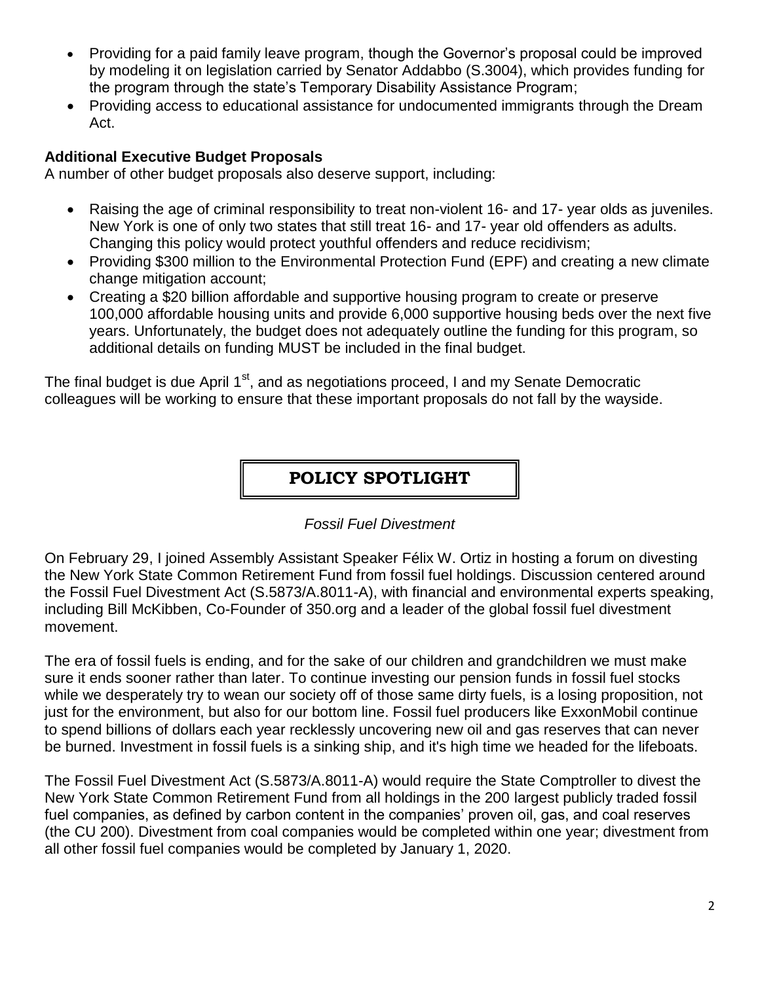- Providing for a paid family leave program, though the Governor's proposal could be improved by modeling it on legislation carried by Senator Addabbo (S.3004), which provides funding for the program through the state's Temporary Disability Assistance Program;
- Providing access to educational assistance for undocumented immigrants through the Dream Act.

#### **Additional Executive Budget Proposals**

A number of other budget proposals also deserve support, including:

- Raising the age of criminal responsibility to treat non-violent 16- and 17- year olds as juveniles. New York is one of only two states that still treat 16- and 17- year old offenders as adults. Changing this policy would protect youthful offenders and reduce recidivism;
- Providing \$300 million to the Environmental Protection Fund (EPF) and creating a new climate change mitigation account;
- Creating a \$20 billion affordable and supportive housing program to create or preserve 100,000 affordable housing units and provide 6,000 supportive housing beds over the next five years. Unfortunately, the budget does not adequately outline the funding for this program, so additional details on funding MUST be included in the final budget.

The final budget is due April 1<sup>st</sup>, and as negotiations proceed, I and my Senate Democratic colleagues will be working to ensure that these important proposals do not fall by the wayside.

## **POLICY SPOTLIGHT**

*Fossil Fuel Divestment*

On February 29, I joined Assembly Assistant Speaker Félix W. Ortiz in hosting a forum on divesting the New York State Common Retirement Fund from fossil fuel holdings. Discussion centered around the Fossil Fuel Divestment Act (S.5873/A.8011-A), with financial and environmental experts speaking, including Bill McKibben, Co-Founder of 350.org and a leader of the global fossil fuel divestment movement.

The era of fossil fuels is ending, and for the sake of our children and grandchildren we must make sure it ends sooner rather than later. To continue investing our pension funds in fossil fuel stocks while we desperately try to wean our society off of those same dirty fuels, is a losing proposition, not just for the environment, but also for our bottom line. Fossil fuel producers like ExxonMobil continue to spend billions of dollars each year recklessly uncovering new oil and gas reserves that can never be burned. Investment in fossil fuels is a sinking ship, and it's high time we headed for the lifeboats.

The Fossil Fuel Divestment Act (S.5873/A.8011-A) would require the State Comptroller to divest the New York State Common Retirement Fund from all holdings in the 200 largest publicly traded fossil fuel companies, as defined by carbon content in the companies' proven oil, gas, and coal reserves (the CU 200). Divestment from coal companies would be completed within one year; divestment from all other fossil fuel companies would be completed by January 1, 2020.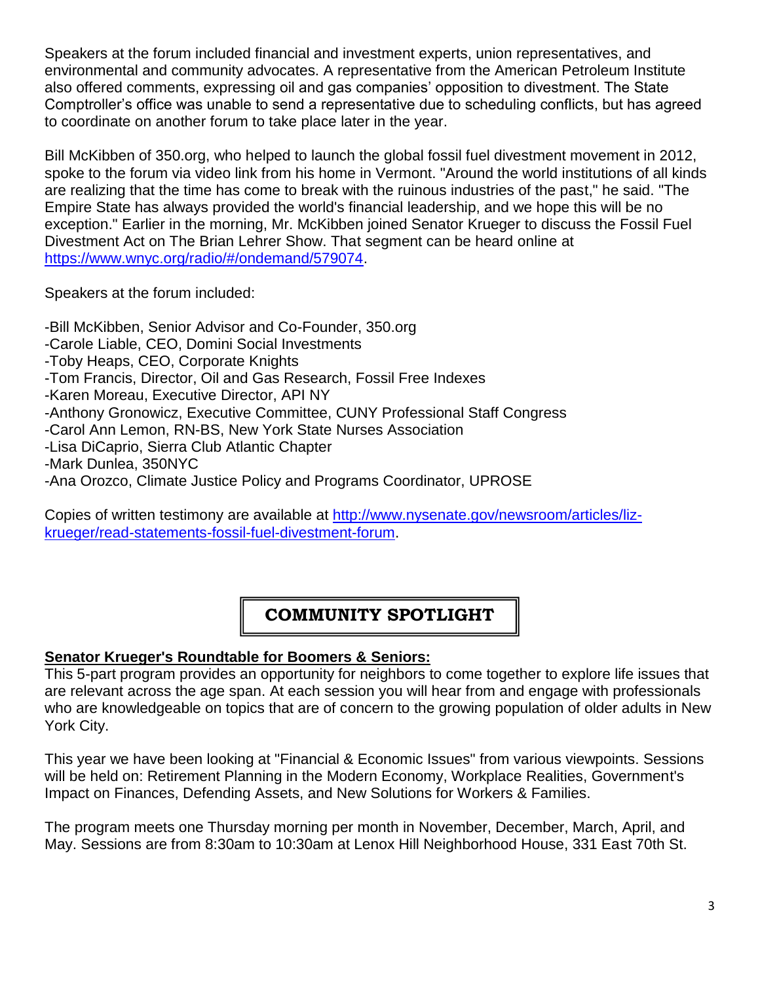Speakers at the forum included financial and investment experts, union representatives, and environmental and community advocates. A representative from the American Petroleum Institute also offered comments, expressing oil and gas companies' opposition to divestment. The State Comptroller's office was unable to send a representative due to scheduling conflicts, but has agreed to coordinate on another forum to take place later in the year.

Bill McKibben of 350.org, who helped to launch the global fossil fuel divestment movement in 2012, spoke to the forum via video link from his home in Vermont. "Around the world institutions of all kinds are realizing that the time has come to break with the ruinous industries of the past," he said. "The Empire State has always provided the world's financial leadership, and we hope this will be no exception." Earlier in the morning, Mr. McKibben joined Senator Krueger to discuss the Fossil Fuel Divestment Act on The Brian Lehrer Show. That segment can be heard online at [https://www.wnyc.org/radio/#/ondemand/579074.](https://www.wnyc.org/radio/#/ondemand/579074)

Speakers at the forum included:

-Bill McKibben, Senior Advisor and Co-Founder, 350.org -Carole Liable, CEO, Domini Social Investments -Toby Heaps, CEO, Corporate Knights -Tom Francis, Director, Oil and Gas Research, Fossil Free Indexes -Karen Moreau, Executive Director, API NY -Anthony Gronowicz, Executive Committee, CUNY Professional Staff Congress -Carol Ann Lemon, RN-BS, New York State Nurses Association -Lisa DiCaprio, Sierra Club Atlantic Chapter -Mark Dunlea, 350NYC -Ana Orozco, Climate Justice Policy and Programs Coordinator, UPROSE

Copies of written testimony are available at [http://www.nysenate.gov/newsroom/articles/liz](http://www.nysenate.gov/newsroom/articles/liz-krueger/read-statements-fossil-fuel-divestment-forum)[krueger/read-statements-fossil-fuel-divestment-forum.](http://www.nysenate.gov/newsroom/articles/liz-krueger/read-statements-fossil-fuel-divestment-forum)

# **COMMUNITY SPOTLIGHT**

#### **Senator Krueger's Roundtable for Boomers & Seniors:**

This 5-part program provides an opportunity for neighbors to come together to explore life issues that are relevant across the age span. At each session you will hear from and engage with professionals who are knowledgeable on topics that are of concern to the growing population of older adults in New York City.

This year we have been looking at "Financial & Economic Issues" from various viewpoints. Sessions will be held on: Retirement Planning in the Modern Economy, Workplace Realities, Government's Impact on Finances, Defending Assets, and New Solutions for Workers & Families.

The program meets one Thursday morning per month in November, December, March, April, and May. Sessions are from 8:30am to 10:30am at Lenox Hill Neighborhood House, 331 East 70th St.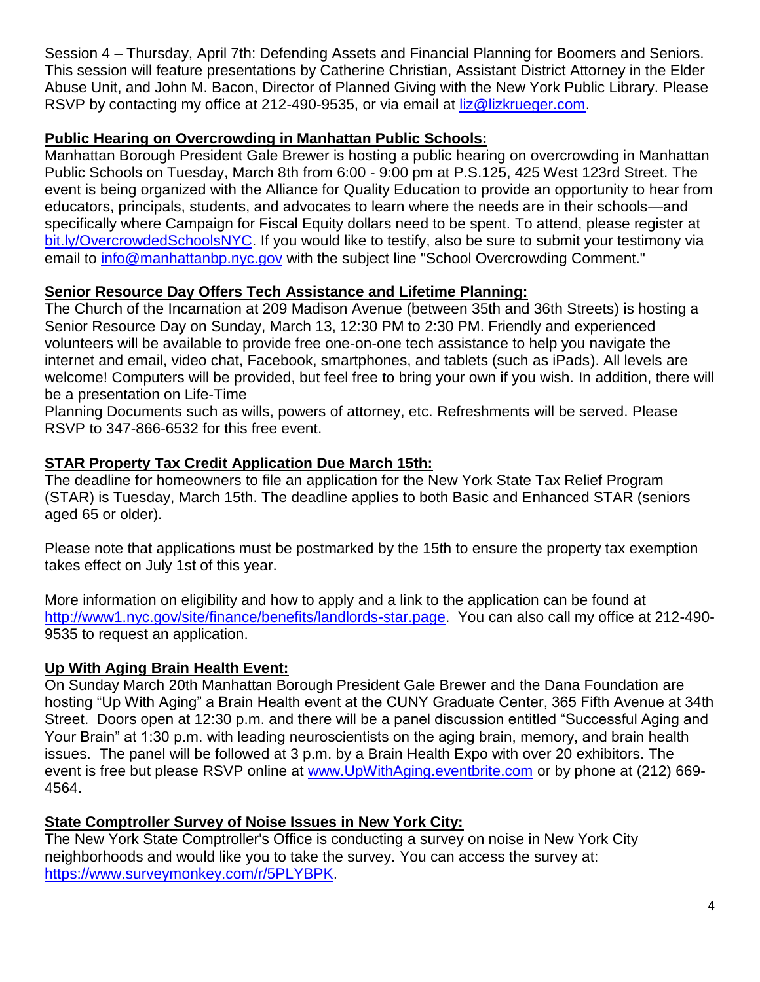Session 4 – Thursday, April 7th: Defending Assets and Financial Planning for Boomers and Seniors. This session will feature presentations by Catherine Christian, Assistant District Attorney in the Elder Abuse Unit, and John M. Bacon, Director of Planned Giving with the New York Public Library. Please RSVP by contacting my office at 212-490-9535, or via email at [liz@lizkrueger.com.](mailto:liz@lizkrueger.com)

#### **Public Hearing on Overcrowding in Manhattan Public Schools:**

Manhattan Borough President Gale Brewer is hosting a public hearing on overcrowding in Manhattan Public Schools on Tuesday, March 8th from 6:00 - 9:00 pm at P.S.125, 425 West 123rd Street. The event is being organized with the Alliance for Quality Education to provide an opportunity to hear from educators, principals, students, and advocates to learn where the needs are in their schools—and specifically where Campaign for Fiscal Equity dollars need to be spent. To attend, please register at [bit.ly/OvercrowdedSchoolsNYC.](file:///C:/Users/senateuser/Documents/bit.ly/OvercrowdedSchoolsNYC) If you would like to testify, also be sure to submit your testimony via email to *info@manhattanbp.nyc.gov* with the subject line "School Overcrowding Comment."

#### **Senior Resource Day Offers Tech Assistance and Lifetime Planning:**

The Church of the Incarnation at 209 Madison Avenue (between 35th and 36th Streets) is hosting a Senior Resource Day on Sunday, March 13, 12:30 PM to 2:30 PM. Friendly and experienced volunteers will be available to provide free one-on-one tech assistance to help you navigate the internet and email, video chat, Facebook, smartphones, and tablets (such as iPads). All levels are welcome! Computers will be provided, but feel free to bring your own if you wish. In addition, there will be a presentation on Life-Time

Planning Documents such as wills, powers of attorney, etc. Refreshments will be served. Please RSVP to 347-866-6532 for this free event.

## **STAR Property Tax Credit Application Due March 15th:**

The deadline for homeowners to file an application for the New York State Tax Relief Program (STAR) is Tuesday, March 15th. The deadline applies to both Basic and Enhanced STAR (seniors aged 65 or older).

Please note that applications must be postmarked by the 15th to ensure the property tax exemption takes effect on July 1st of this year.

More information on eligibility and how to apply and a link to the application can be found at [http://www1.nyc.gov/site/finance/benefits/landlords-star.page.](http://www1.nyc.gov/site/finance/benefits/landlords-star.page) You can also call my office at 212-490- 9535 to request an application.

#### **Up With Aging Brain Health Event:**

On Sunday March 20th Manhattan Borough President Gale Brewer and the Dana Foundation are hosting "Up With Aging" a Brain Health event at the CUNY Graduate Center, 365 Fifth Avenue at 34th Street. Doors open at 12:30 p.m. and there will be a panel discussion entitled "Successful Aging and Your Brain" at 1:30 p.m. with leading neuroscientists on the aging brain, memory, and brain health issues. The panel will be followed at 3 p.m. by a Brain Health Expo with over 20 exhibitors. The event is free but please RSVP online at [www.UpWithAging.eventbrite.com](http://www.upwithaging.eventbrite.com/) or by phone at (212) 669- 4564.

#### **State Comptroller Survey of Noise Issues in New York City:**

The New York State Comptroller's Office is conducting a survey on noise in New York City neighborhoods and would like you to take the survey. You can access the survey at: <https://www.surveymonkey.com/r/5PLYBPK>.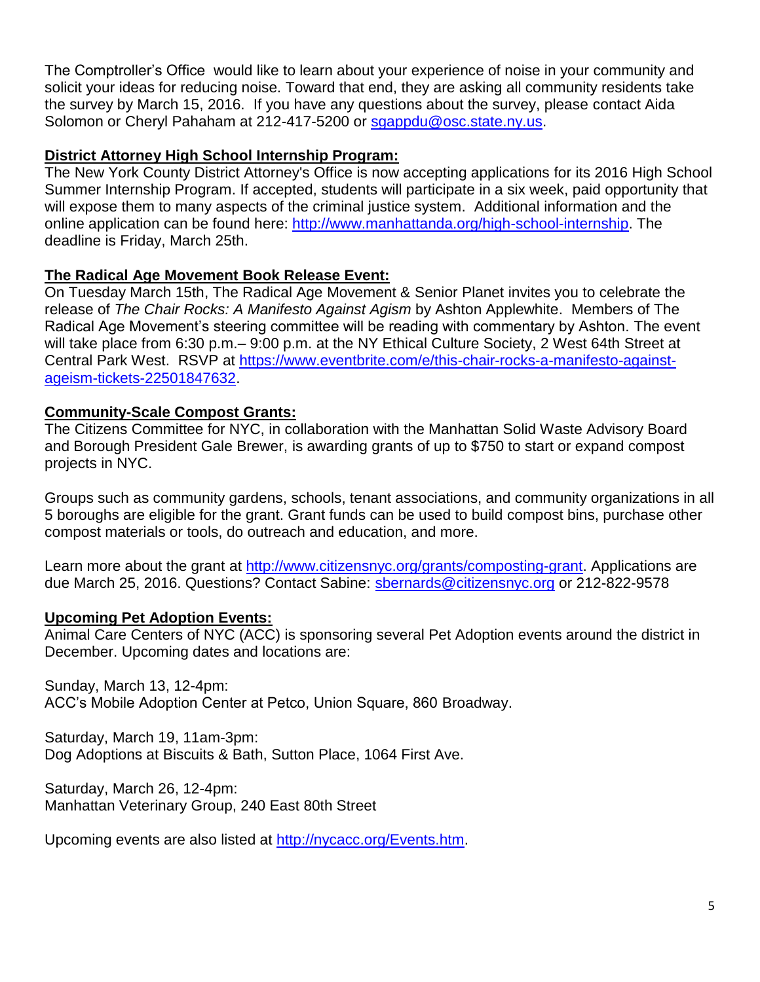The Comptroller's Office would like to learn about your experience of noise in your community and solicit your ideas for reducing noise. Toward that end, they are asking all community residents take the survey by March 15, 2016. If you have any questions about the survey, please contact Aida Solomon or Cheryl Pahaham at 212-417-5200 or [sgappdu@osc.state.ny.us.](mailto:sgappdu@osc.state.ny.us)

#### **District Attorney High School Internship Program:**

The New York County District Attorney's Office is now accepting applications for its 2016 High School Summer Internship Program. If accepted, students will participate in a six week, paid opportunity that will expose them to many aspects of the criminal justice system. Additional information and the online application can be found here: [http://www.manhattanda.org/high-school-internship.](http://www.manhattanda.org/high-school-internship) The deadline is Friday, March 25th.

#### **The Radical Age Movement Book Release Event:**

On Tuesday March 15th, The Radical Age Movement & Senior Planet invites you to celebrate the release of *The Chair Rocks: A Manifesto Against Agism* by Ashton Applewhite. Members of The Radical Age Movement's steering committee will be reading with commentary by Ashton. The event will take place from 6:30 p.m.– 9:00 p.m. at the NY Ethical Culture Society, 2 West 64th Street at Central Park West. RSVP at [https://www.eventbrite.com/e/this-chair-rocks-a-manifesto-against](https://www.eventbrite.com/e/this-chair-rocks-a-manifesto-against-ageism-tickets-22501847632)[ageism-tickets-22501847632.](https://www.eventbrite.com/e/this-chair-rocks-a-manifesto-against-ageism-tickets-22501847632)

#### **Community-Scale Compost Grants:**

The Citizens Committee for NYC, in collaboration with the Manhattan Solid Waste Advisory Board and Borough President Gale Brewer, is awarding grants of up to \$750 to start or expand compost projects in NYC.

Groups such as community gardens, schools, tenant associations, and community organizations in all 5 boroughs are eligible for the grant. Grant funds can be used to build compost bins, purchase other compost materials or tools, do outreach and education, and more.

Learn more about the grant at [http://www.citizensnyc.org/grants/composting-grant.](http://www.citizensnyc.org/grants/composting-grant) Applications are due March 25, 2016. Questions? Contact Sabine: [sbernards@citizensnyc.org](mailto:sbernards@citizensnyc.org) or 212-822-9578

#### **Upcoming Pet Adoption Events:**

Animal Care Centers of NYC (ACC) is sponsoring several Pet Adoption events around the district in December. Upcoming dates and locations are:

Sunday, March 13, 12-4pm: ACC's Mobile Adoption Center at Petco, Union Square, 860 Broadway.

Saturday, March 19, 11am-3pm: Dog Adoptions at Biscuits & Bath, Sutton Place, 1064 First Ave.

Saturday, March 26, 12-4pm: Manhattan Veterinary Group, 240 East 80th Street

Upcoming events are also listed at [http://nycacc.org/Events.htm.](http://nycacc.org/Events.htm)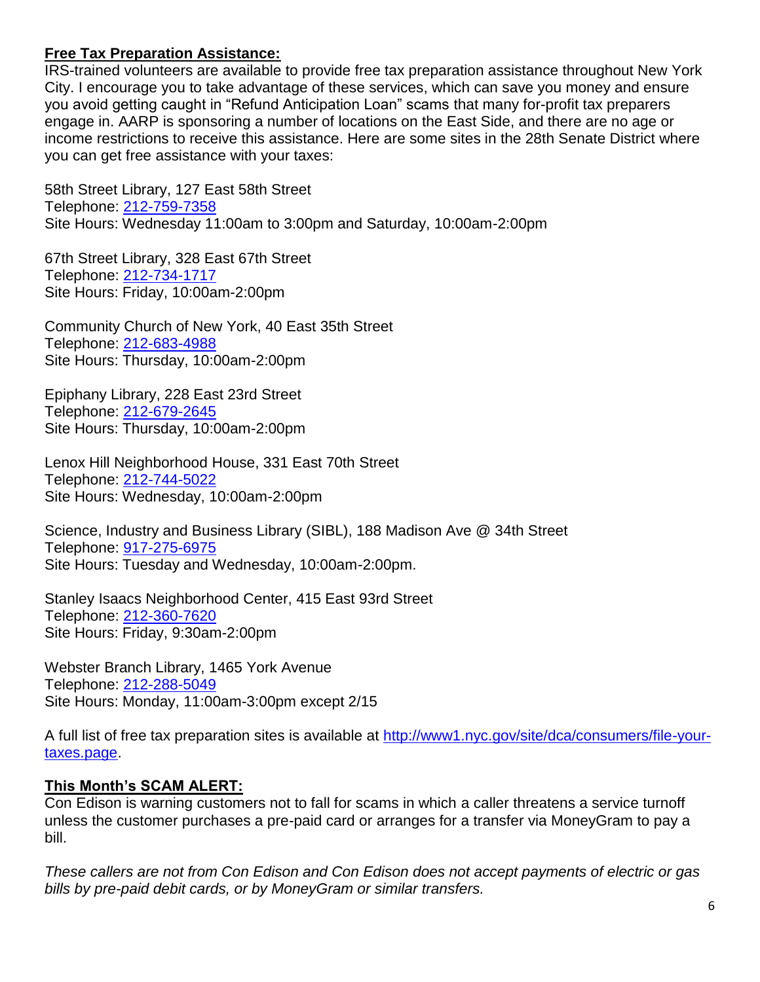#### **Free Tax Preparation Assistance:**

IRS-trained volunteers are available to provide free tax preparation assistance throughout New York City. I encourage you to take advantage of these services, which can save you money and ensure you avoid getting caught in "Refund Anticipation Loan" scams that many for-profit tax preparers engage in. AARP is sponsoring a number of locations on the East Side, and there are no age or income restrictions to receive this assistance. Here are some sites in the 28th Senate District where you can get free assistance with your taxes:

58th Street Library, 127 East 58th Street Telephone: 212-759-7358 Site Hours: Wednesday 11:00am to 3:00pm and Saturday, 10:00am-2:00pm

67th Street Library, 328 East 67th Street Telephone: 212-734-1717 Site Hours: Friday, 10:00am-2:00pm

Community Church of New York, 40 East 35th Street Telephone: 212-683-4988 Site Hours: Thursday, 10:00am-2:00pm

Epiphany Library, 228 East 23rd Street Telephone: 212-679-2645 Site Hours: Thursday, 10:00am-2:00pm

Lenox Hill Neighborhood House, 331 East 70th Street Telephone: 212-744-5022 Site Hours: Wednesday, 10:00am-2:00pm

Science, Industry and Business Library (SIBL), 188 Madison Ave @ 34th Street Telephone: 917-275-6975 Site Hours: Tuesday and Wednesday, 10:00am-2:00pm.

Stanley Isaacs Neighborhood Center, 415 East 93rd Street Telephone: 212-360-7620 Site Hours: Friday, 9:30am-2:00pm

Webster Branch Library, 1465 York Avenue Telephone: 212-288-5049 Site Hours: Monday, 11:00am-3:00pm except 2/15

A full list of free tax preparation sites is available at [http://www1.nyc.gov/site/dca/consumers/file-your](http://www1.nyc.gov/site/dca/consumers/file-your-taxes.page)[taxes.page.](http://www1.nyc.gov/site/dca/consumers/file-your-taxes.page)

#### **This Month's SCAM ALERT:**

Con Edison is warning customers not to fall for scams in which a caller threatens a service turnoff unless the customer purchases a pre-paid card or arranges for a transfer via MoneyGram to pay a bill.

*These callers are not from Con Edison and Con Edison does not accept payments of electric or gas bills by pre-paid debit cards, or by MoneyGram or similar transfers.*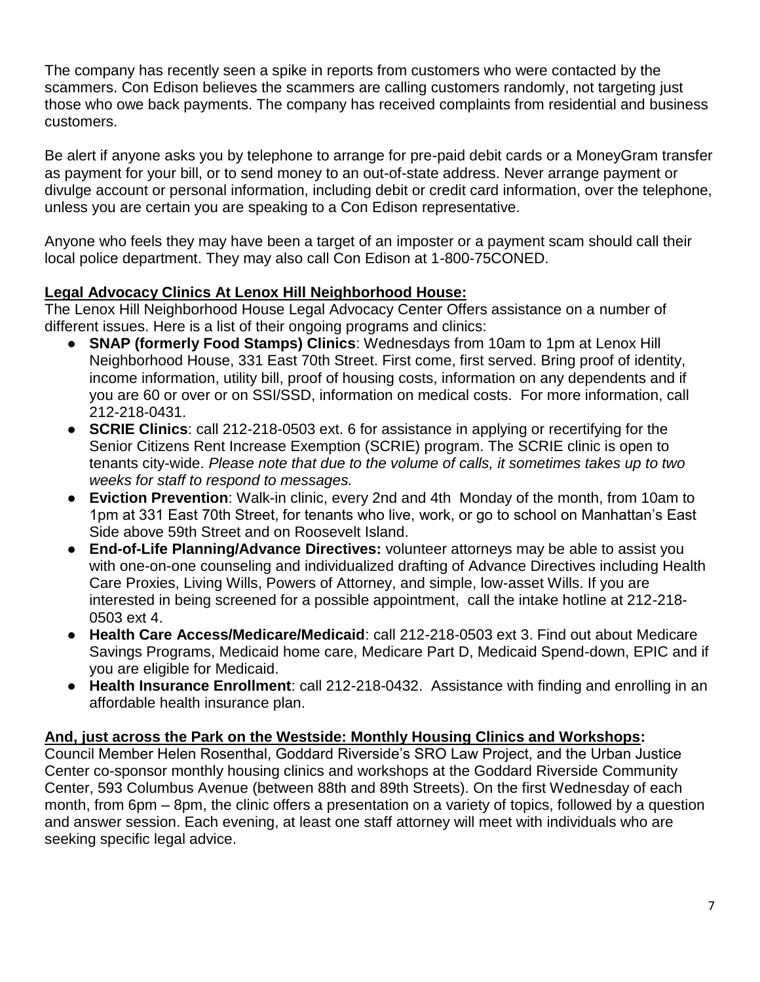The company has recently seen a spike in reports from customers who were contacted by the scammers. Con Edison believes the scammers are calling customers randomly, not targeting just those who owe back payments. The company has received complaints from residential and business customers.

Be alert if anyone asks you by telephone to arrange for pre-paid debit cards or a MoneyGram transfer as payment for your bill, or to send money to an out-of-state address. Never arrange payment or divulge account or personal information, including debit or credit card information, over the telephone, unless you are certain you are speaking to a Con Edison representative.

Anyone who feels they may have been a target of an imposter or a payment scam should call their local police department. They may also call Con Edison at 1-800-75CONED.

#### **Legal Advocacy Clinics At Lenox Hill Neighborhood House:**

The Lenox Hill Neighborhood House Legal Advocacy Center Offers assistance on a number of different issues. Here is a list of their ongoing programs and clinics:

- **SNAP (formerly Food Stamps) Clinics: Wednesdays from 10am to 1pm at Lenox Hill** Neighborhood House, 331 East 70th Street. First come, first served. Bring proof of identity, income information, utility bill, proof of housing costs, information on any dependents and if you are 60 or over or on SSI/SSD, information on medical costs. For more information, call 212-218-0431.
- **SCRIE Clinics**: call 212-218-0503 ext. 6 for assistance in applying or recertifying for the Senior Citizens Rent Increase Exemption (SCRIE) program. The SCRIE clinic is open to tenants city-wide. *Please note that due to the volume of calls, it sometimes takes up to two weeks for staff to respond to messages.*
- **Eviction Prevention**: Walk-in clinic, every 2nd and 4th Monday of the month, from 10am to 1pm at 331 East 70th Street, for tenants who live, work, or go to school on Manhattan's East Side above 59th Street and on Roosevelt Island.
- **End-of-Life Planning/Advance Directives:** volunteer attorneys may be able to assist you with one-on-one counseling and individualized drafting of Advance Directives including Health Care Proxies, Living Wills, Powers of Attorney, and simple, low-asset Wills. If you are interested in being screened for a possible appointment, call the intake hotline at 212-218- 0503 ext 4.
- **Health Care Access/Medicare/Medicaid**: call 212-218-0503 ext 3. Find out about Medicare Savings Programs, Medicaid home care, Medicare Part D, Medicaid Spend-down, EPIC and if you are eligible for Medicaid.
- **Health Insurance Enrollment**: call 212-218-0432. Assistance with finding and enrolling in an affordable health insurance plan.

#### **And, just across the Park on the Westside: Monthly Housing Clinics and Workshops:**

Council Member Helen Rosenthal, Goddard Riverside's SRO Law Project, and the Urban Justice Center co-sponsor monthly housing clinics and workshops at the Goddard Riverside Community Center, 593 Columbus Avenue (between 88th and 89th Streets). On the first Wednesday of each month, from 6pm – 8pm, the clinic offers a presentation on a variety of topics, followed by a question and answer session. Each evening, at least one staff attorney will meet with individuals who are seeking specific legal advice.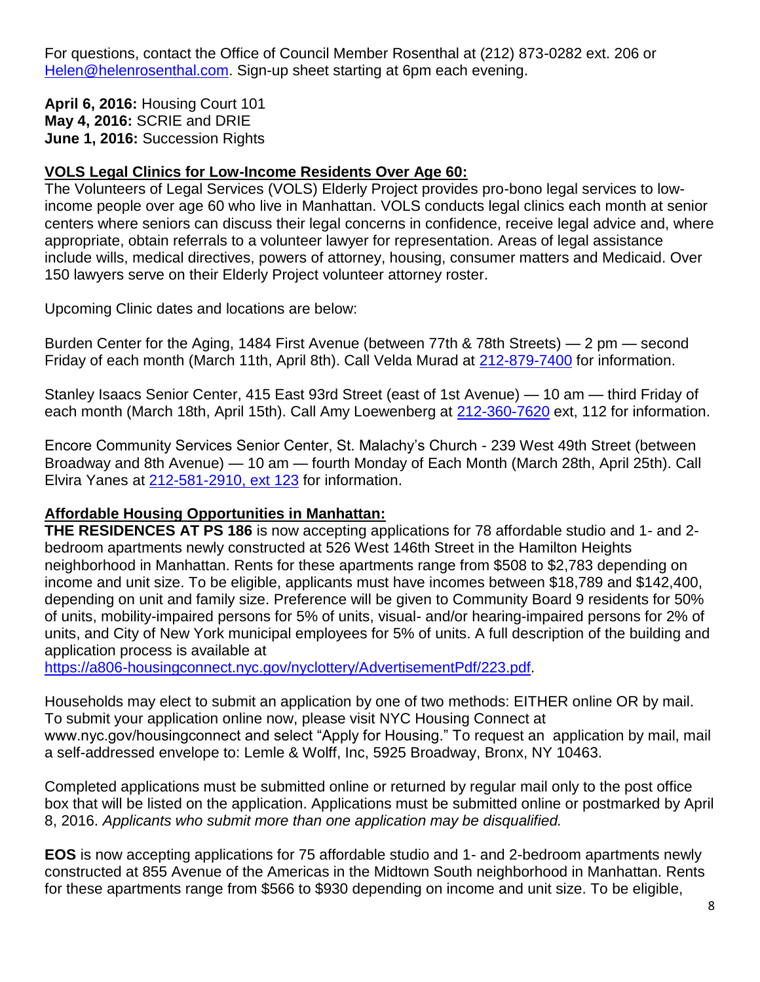For questions, contact the Office of Council Member Rosenthal at (212) 873-0282 ext. 206 or [Helen@helenrosenthal.com.](mailto:Helen@helenrosenthal.com) Sign-up sheet starting at 6pm each evening.

**April 6, 2016:** Housing Court 101 **May 4, 2016:** SCRIE and DRIE **June 1, 2016:** Succession Rights

#### **VOLS Legal Clinics for Low-Income Residents Over Age 60:**

The Volunteers of Legal Services (VOLS) Elderly Project provides pro-bono legal services to lowincome people over age 60 who live in Manhattan. VOLS conducts legal clinics each month at senior centers where seniors can discuss their legal concerns in confidence, receive legal advice and, where appropriate, obtain referrals to a volunteer lawyer for representation. Areas of legal assistance include wills, medical directives, powers of attorney, housing, consumer matters and Medicaid. Over 150 lawyers serve on their Elderly Project volunteer attorney roster.

Upcoming Clinic dates and locations are below:

Burden Center for the Aging, 1484 First Avenue (between 77th & 78th Streets) — 2 pm — second Friday of each month (March 11th, April 8th). Call Velda Murad at [212-879-7400](tel:212-879-7400) for information.

Stanley Isaacs Senior Center, 415 East 93rd Street (east of 1st Avenue) — 10 am — third Friday of each month (March 18th, April 15th). Call Amy Loewenberg at [212-360-7620](tel:212-360-7620) ext, 112 for information.

Encore Community Services Senior Center, St. Malachy's Church - 239 West 49th Street (between Broadway and 8th Avenue) — 10 am — fourth Monday of Each Month (March 28th, April 25th). Call Elvira Yanes at 212-581-2910, ext 123 for information.

#### **Affordable Housing Opportunities in Manhattan:**

**THE RESIDENCES AT PS 186** is now accepting applications for 78 affordable studio and 1- and 2 bedroom apartments newly constructed at 526 West 146th Street in the Hamilton Heights neighborhood in Manhattan. Rents for these apartments range from \$508 to \$2,783 depending on income and unit size. To be eligible, applicants must have incomes between \$18,789 and \$142,400, depending on unit and family size. Preference will be given to Community Board 9 residents for 50% of units, mobility-impaired persons for 5% of units, visual- and/or hearing-impaired persons for 2% of units, and City of New York municipal employees for 5% of units. A full description of the building and application process is available at

[https://a806-housingconnect.nyc.gov/nyclottery/AdvertisementPdf/223.pdf.](http://223.pdf/)

Households may elect to submit an application by one of two methods: EITHER online OR by mail. To submit your application online now, please visit NYC Housing Connect at www.nyc.gov/housingconnect and select "Apply for Housing." To request an application by mail, mail a self-addressed envelope to: Lemle & Wolff, Inc, 5925 Broadway, Bronx, NY 10463.

Completed applications must be submitted online or returned by regular mail only to the post office box that will be listed on the application. Applications must be submitted online or postmarked by April 8, 2016. *Applicants who submit more than one application may be disqualified.*

**EOS** is now accepting applications for 75 affordable studio and 1- and 2-bedroom apartments newly constructed at 855 Avenue of the Americas in the Midtown South neighborhood in Manhattan. Rents for these apartments range from \$566 to \$930 depending on income and unit size. To be eligible,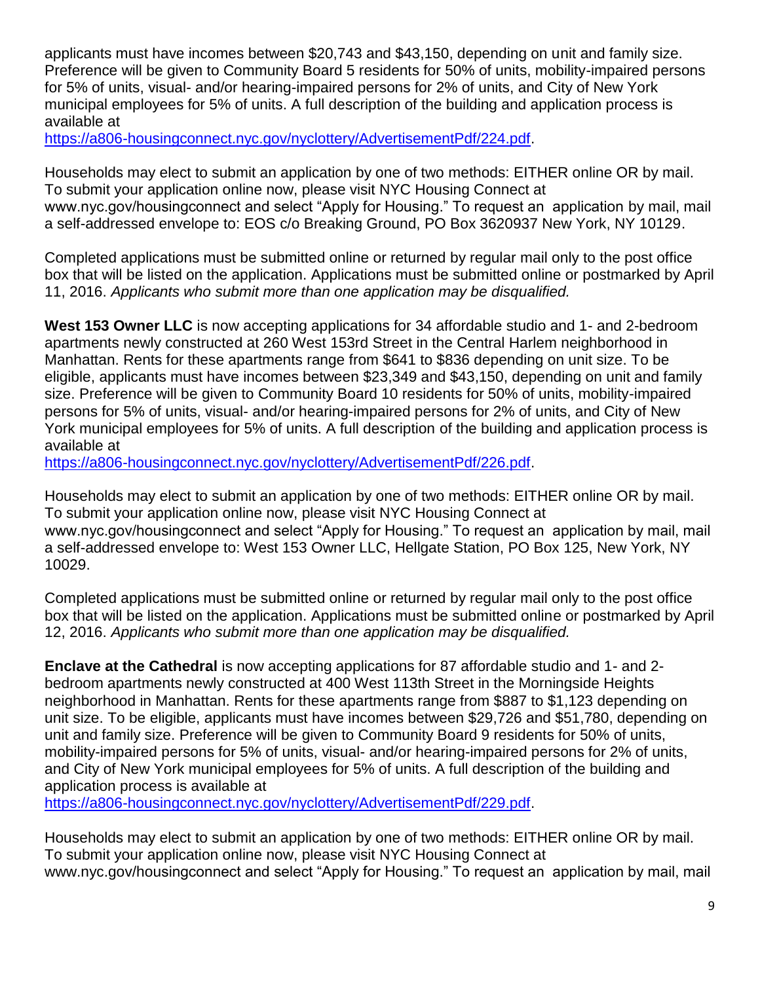applicants must have incomes between \$20,743 and \$43,150, depending on unit and family size. Preference will be given to Community Board 5 residents for 50% of units, mobility-impaired persons for 5% of units, visual- and/or hearing-impaired persons for 2% of units, and City of New York municipal employees for 5% of units. A full description of the building and application process is available at

[https://a806-housingconnect.nyc.gov/nyclottery/AdvertisementPdf/224.pdf.](https://a806-housingconnect.nyc.gov/nyclottery/AdvertisementPdf/224.pdf)

Households may elect to submit an application by one of two methods: EITHER online OR by mail. To submit your application online now, please visit NYC Housing Connect at www.nyc.gov/housingconnect and select "Apply for Housing." To request an application by mail, mail a self-addressed envelope to: EOS c/o Breaking Ground, PO Box 3620937 New York, NY 10129.

Completed applications must be submitted online or returned by regular mail only to the post office box that will be listed on the application. Applications must be submitted online or postmarked by April 11, 2016. *Applicants who submit more than one application may be disqualified.*

**West 153 Owner LLC** is now accepting applications for 34 affordable studio and 1- and 2-bedroom apartments newly constructed at 260 West 153rd Street in the Central Harlem neighborhood in Manhattan. Rents for these apartments range from \$641 to \$836 depending on unit size. To be eligible, applicants must have incomes between \$23,349 and \$43,150, depending on unit and family size. Preference will be given to Community Board 10 residents for 50% of units, mobility-impaired persons for 5% of units, visual- and/or hearing-impaired persons for 2% of units, and City of New York municipal employees for 5% of units. A full description of the building and application process is available at

[https://a806-housingconnect.nyc.gov/nyclottery/AdvertisementPdf/226.pdf.](https://a806-housingconnect.nyc.gov/nyclottery/AdvertisementPdf/226.pdf)

Households may elect to submit an application by one of two methods: EITHER online OR by mail. To submit your application online now, please visit NYC Housing Connect at www.nyc.gov/housingconnect and select "Apply for Housing." To request an application by mail, mail a self-addressed envelope to: West 153 Owner LLC, Hellgate Station, PO Box 125, New York, NY 10029.

Completed applications must be submitted online or returned by regular mail only to the post office box that will be listed on the application. Applications must be submitted online or postmarked by April 12, 2016. *Applicants who submit more than one application may be disqualified.*

**Enclave at the Cathedral** is now accepting applications for 87 affordable studio and 1- and 2 bedroom apartments newly constructed at 400 West 113th Street in the Morningside Heights neighborhood in Manhattan. Rents for these apartments range from \$887 to \$1,123 depending on unit size. To be eligible, applicants must have incomes between \$29,726 and \$51,780, depending on unit and family size. Preference will be given to Community Board 9 residents for 50% of units, mobility-impaired persons for 5% of units, visual- and/or hearing-impaired persons for 2% of units, and City of New York municipal employees for 5% of units. A full description of the building and application process is available at

[https://a806-housingconnect.nyc.gov/nyclottery/AdvertisementPdf/229.pdf.](https://a806-housingconnect.nyc.gov/nyclottery/AdvertisementPdf/229.pdf)

Households may elect to submit an application by one of two methods: EITHER online OR by mail. To submit your application online now, please visit NYC Housing Connect at www.nyc.gov/housingconnect and select "Apply for Housing." To request an application by mail, mail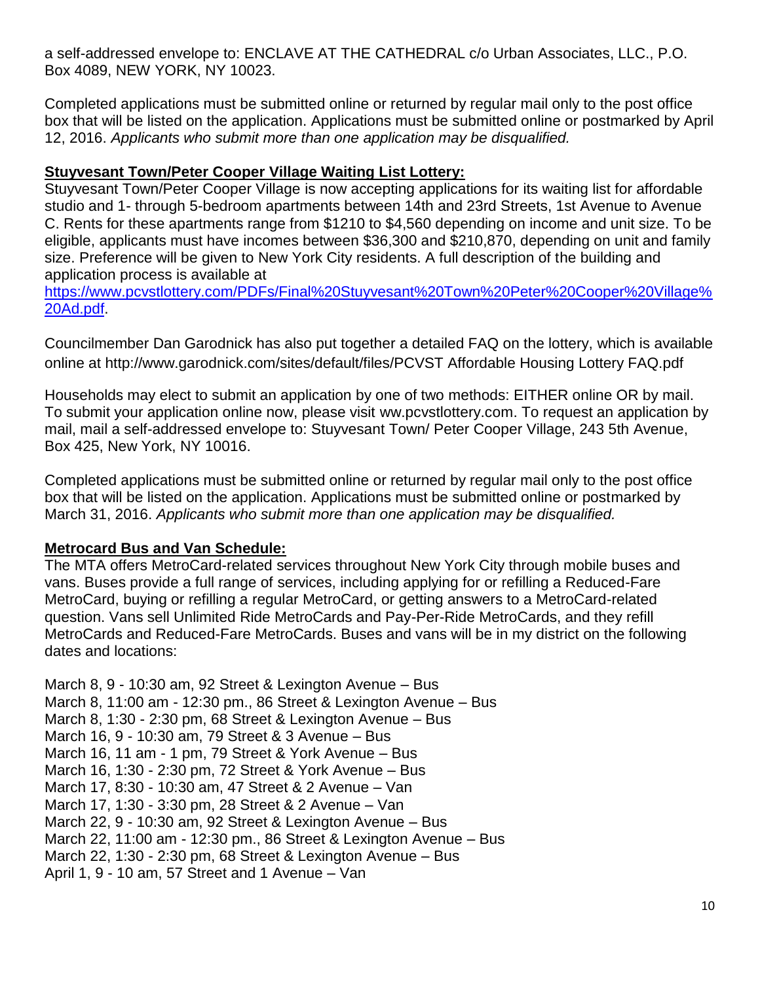a self-addressed envelope to: ENCLAVE AT THE CATHEDRAL c/o Urban Associates, LLC., P.O. Box 4089, NEW YORK, NY 10023.

Completed applications must be submitted online or returned by regular mail only to the post office box that will be listed on the application. Applications must be submitted online or postmarked by April 12, 2016. *Applicants who submit more than one application may be disqualified.*

#### **Stuyvesant Town/Peter Cooper Village Waiting List Lottery:**

Stuyvesant Town/Peter Cooper Village is now accepting applications for its waiting list for affordable studio and 1- through 5-bedroom apartments between 14th and 23rd Streets, 1st Avenue to Avenue C. Rents for these apartments range from \$1210 to \$4,560 depending on income and unit size. To be eligible, applicants must have incomes between \$36,300 and \$210,870, depending on unit and family size. Preference will be given to New York City residents. A full description of the building and application process is available at

[https://www.pcvstlottery.com/PDFs/Final%20Stuyvesant%20Town%20Peter%20Cooper%20Village%](https://www.pcvstlottery.com/PDFs/Final%20Stuyvesant%20Town%20Peter%20Cooper%20Village%20Ad.pdf) [20Ad.pdf.](https://www.pcvstlottery.com/PDFs/Final%20Stuyvesant%20Town%20Peter%20Cooper%20Village%20Ad.pdf)

Councilmember Dan Garodnick has also put together a detailed FAQ on the lottery, which is available online at http://www.garodnick.com/sites/default/files/PCVST Affordable Housing Lottery FAQ.pdf

Households may elect to submit an application by one of two methods: EITHER online OR by mail. To submit your application online now, please visit ww.pcvstlottery.com. To request an application by mail, mail a self-addressed envelope to: Stuyvesant Town/ Peter Cooper Village, 243 5th Avenue, Box 425, New York, NY 10016.

Completed applications must be submitted online or returned by regular mail only to the post office box that will be listed on the application. Applications must be submitted online or postmarked by March 31, 2016. *Applicants who submit more than one application may be disqualified.*

#### **Metrocard Bus and Van Schedule:**

The MTA offers MetroCard-related services throughout New York City through mobile buses and vans. Buses provide a full range of services, including applying for or refilling a Reduced-Fare MetroCard, buying or refilling a regular MetroCard, or getting answers to a MetroCard-related question. Vans sell Unlimited Ride MetroCards and Pay-Per-Ride MetroCards, and they refill MetroCards and Reduced-Fare MetroCards. Buses and vans will be in my district on the following dates and locations:

March 8, 9 - 10:30 am, 92 Street & Lexington Avenue – Bus March 8, 11:00 am - 12:30 pm., 86 Street & Lexington Avenue – Bus March 8, 1:30 - 2:30 pm, 68 Street & Lexington Avenue – Bus March 16, 9 - 10:30 am, 79 Street & 3 Avenue – Bus March 16, 11 am - 1 pm, 79 Street & York Avenue – Bus March 16, 1:30 - 2:30 pm, 72 Street & York Avenue – Bus March 17, 8:30 - 10:30 am, 47 Street & 2 Avenue – Van March 17, 1:30 - 3:30 pm, 28 Street & 2 Avenue – Van March 22, 9 - 10:30 am, 92 Street & Lexington Avenue – Bus March 22, 11:00 am - 12:30 pm., 86 Street & Lexington Avenue – Bus March 22, 1:30 - 2:30 pm, 68 Street & Lexington Avenue – Bus April 1, 9 - 10 am, 57 Street and 1 Avenue – Van